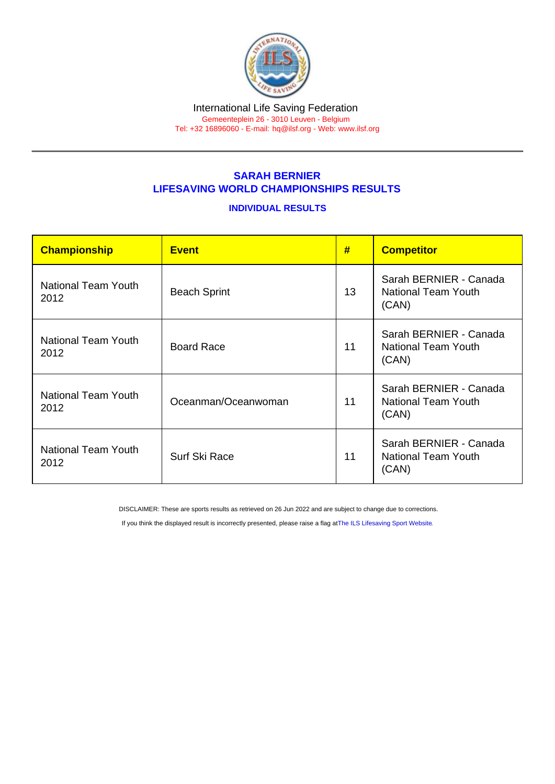## SARAH BERNIER LIFESAVING WORLD CHAMPIONSHIPS RESULTS

## INDIVIDUAL RESULTS

| Championship                | <b>Event</b>        | #  | <b>Competitor</b>                                             |
|-----------------------------|---------------------|----|---------------------------------------------------------------|
| National Team Youth<br>2012 | <b>Beach Sprint</b> | 13 | Sarah BERNIER - Canada<br><b>National Team Youth</b><br>(CAN) |
| National Team Youth<br>2012 | <b>Board Race</b>   | 11 | Sarah BERNIER - Canada<br><b>National Team Youth</b><br>(CAN) |
| National Team Youth<br>2012 | Oceanman/Oceanwoman | 11 | Sarah BERNIER - Canada<br><b>National Team Youth</b><br>(CAN) |
| National Team Youth<br>2012 | Surf Ski Race       | 11 | Sarah BERNIER - Canada<br><b>National Team Youth</b><br>(CAN) |

DISCLAIMER: These are sports results as retrieved on 26 Jun 2022 and are subject to change due to corrections.

If you think the displayed result is incorrectly presented, please raise a flag at [The ILS Lifesaving Sport Website.](https://sport.ilsf.org)